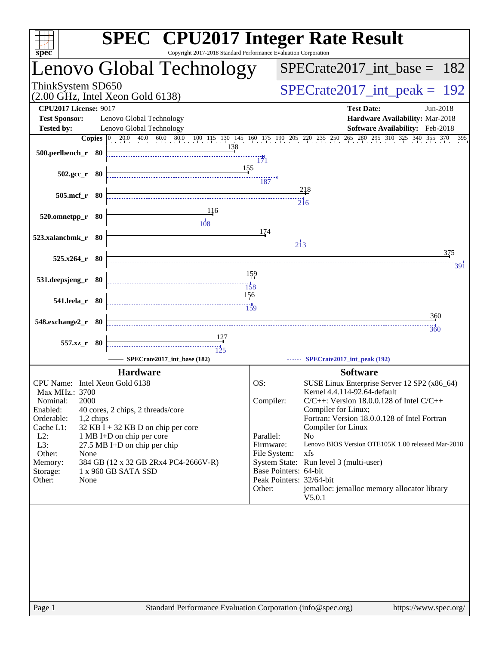| spec <sup>®</sup>                                                       | <b>SPEC<sup>®</sup></b> CPU2017 Integer Rate Result<br>Copyright 2017-2018 Standard Performance Evaluation Corporation |                        |                                                                                                                                                                                                                                        |
|-------------------------------------------------------------------------|------------------------------------------------------------------------------------------------------------------------|------------------------|----------------------------------------------------------------------------------------------------------------------------------------------------------------------------------------------------------------------------------------|
|                                                                         | Lenovo Global Technology                                                                                               |                        | $SPECTate2017\_int\_base = 182$                                                                                                                                                                                                        |
| ThinkSystem SD650<br>$(2.00 \text{ GHz}, \text{Intel Xeon Gold } 6138)$ |                                                                                                                        |                        | $SPECrate2017\_int\_peak = 192$                                                                                                                                                                                                        |
| <b>CPU2017 License: 9017</b>                                            |                                                                                                                        |                        | <b>Test Date:</b><br>Jun-2018                                                                                                                                                                                                          |
| <b>Test Sponsor:</b>                                                    | Lenovo Global Technology                                                                                               |                        | Hardware Availability: Mar-2018                                                                                                                                                                                                        |
| <b>Tested by:</b>                                                       | Lenovo Global Technology                                                                                               |                        | Software Availability: Feb-2018<br><b>Copies</b> $\begin{bmatrix} 0 & 20.0 & 40.0 & 60.0 & 80.0 & 100 & 115 & 130 & 145 & 160 & 175 & 190 & 205 & 220 & 235 & 250 & 265 & 280 & 295 & 310 & 325 & 340 & 355 & 370 & 395 \end{bmatrix}$ |
| 500.perlbench_r 80                                                      | 138                                                                                                                    | $\frac{1}{171}$        |                                                                                                                                                                                                                                        |
| $502.\text{gcc}_r$ 80                                                   | 155                                                                                                                    | 187                    |                                                                                                                                                                                                                                        |
| 505.mcf_r 80                                                            |                                                                                                                        |                        | 218<br>$\overline{216}$                                                                                                                                                                                                                |
| 520.omnetpp_r 80                                                        |                                                                                                                        |                        |                                                                                                                                                                                                                                        |
| 523.xalancbmk r 80                                                      |                                                                                                                        | 174                    | $\overline{2}$ <sup>1</sup> 3                                                                                                                                                                                                          |
| 525.x264_r 80                                                           |                                                                                                                        |                        | 375                                                                                                                                                                                                                                    |
| 531.deepsjeng_r 80                                                      | $\overline{158}$                                                                                                       | 159                    | 391                                                                                                                                                                                                                                    |
| 541.leela_r 80                                                          | 156<br>$\frac{14}{159}$                                                                                                |                        |                                                                                                                                                                                                                                        |
| 548.exchange2_r 80                                                      |                                                                                                                        |                        | 36 <sub>0</sub>                                                                                                                                                                                                                        |
| 557.xz_r 80                                                             |                                                                                                                        |                        | 360                                                                                                                                                                                                                                    |
|                                                                         | SPECrate2017_int_base (182)                                                                                            |                        | SPECrate2017_int_peak (192)                                                                                                                                                                                                            |
|                                                                         | <b>Hardware</b>                                                                                                        |                        | <b>Software</b>                                                                                                                                                                                                                        |
| CPU Name: Intel Xeon Gold 6138                                          |                                                                                                                        | OS:                    | SUSE Linux Enterprise Server 12 SP2 (x86_64)                                                                                                                                                                                           |
| Max MHz.: 3700<br>2000                                                  |                                                                                                                        | Compiler:              | Kernel 4.4.114-92.64-default<br>$C/C++$ : Version 18.0.0.128 of Intel $C/C++$                                                                                                                                                          |
| Nominal:<br>Enabled:                                                    | 40 cores, 2 chips, 2 threads/core                                                                                      |                        | Compiler for Linux;                                                                                                                                                                                                                    |
| Orderable:<br>1,2 chips                                                 |                                                                                                                        |                        | Fortran: Version 18.0.0.128 of Intel Fortran                                                                                                                                                                                           |
| Cache L1:                                                               | $32$ KB I + 32 KB D on chip per core                                                                                   |                        | Compiler for Linux                                                                                                                                                                                                                     |
| $L2$ :<br>L3:                                                           | 1 MB I+D on chip per core<br>27.5 MB I+D on chip per chip                                                              | Parallel:<br>Firmware: | N <sub>o</sub><br>Lenovo BIOS Version OTE105K 1.00 released Mar-2018                                                                                                                                                                   |
| Other:<br>None                                                          |                                                                                                                        | File System:           | xfs                                                                                                                                                                                                                                    |
| Memory:                                                                 | 384 GB (12 x 32 GB 2Rx4 PC4-2666V-R)                                                                                   |                        | System State: Run level 3 (multi-user)                                                                                                                                                                                                 |
| Storage:<br>Other:<br>None                                              | 1 x 960 GB SATA SSD                                                                                                    |                        | Base Pointers: 64-bit<br>Peak Pointers: 32/64-bit                                                                                                                                                                                      |
|                                                                         |                                                                                                                        | Other:                 | jemalloc: jemalloc memory allocator library<br>V5.0.1                                                                                                                                                                                  |
|                                                                         |                                                                                                                        |                        |                                                                                                                                                                                                                                        |
|                                                                         |                                                                                                                        |                        |                                                                                                                                                                                                                                        |
|                                                                         |                                                                                                                        |                        |                                                                                                                                                                                                                                        |
|                                                                         |                                                                                                                        |                        |                                                                                                                                                                                                                                        |
|                                                                         |                                                                                                                        |                        |                                                                                                                                                                                                                                        |
|                                                                         |                                                                                                                        |                        |                                                                                                                                                                                                                                        |
|                                                                         |                                                                                                                        |                        |                                                                                                                                                                                                                                        |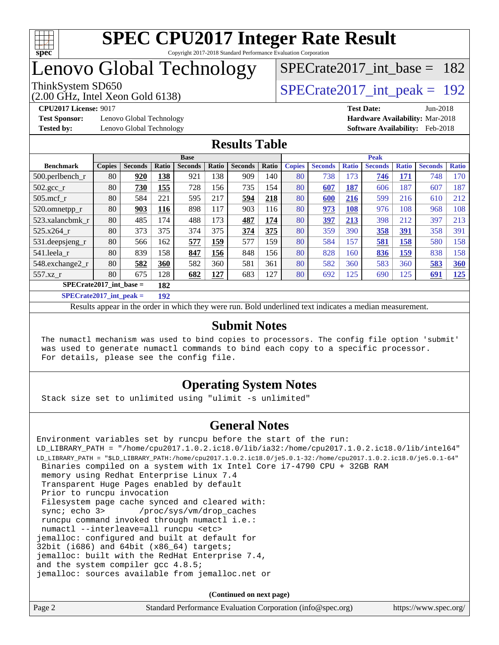

## Lenovo Global Technology

# [SPECrate2017\\_int\\_base =](http://www.spec.org/auto/cpu2017/Docs/result-fields.html#SPECrate2017intbase) 182

(2.00 GHz, Intel Xeon Gold 6138) ThinkSystem SD650  $SPECrate2017\_int\_peak = 192$ 

**[Test Sponsor:](http://www.spec.org/auto/cpu2017/Docs/result-fields.html#TestSponsor)** Lenovo Global Technology **[Hardware Availability:](http://www.spec.org/auto/cpu2017/Docs/result-fields.html#HardwareAvailability)** Mar-2018

**[CPU2017 License:](http://www.spec.org/auto/cpu2017/Docs/result-fields.html#CPU2017License)** 9017 **[Test Date:](http://www.spec.org/auto/cpu2017/Docs/result-fields.html#TestDate)** Jun-2018 **[Tested by:](http://www.spec.org/auto/cpu2017/Docs/result-fields.html#Testedby)** Lenovo Global Technology **[Software Availability:](http://www.spec.org/auto/cpu2017/Docs/result-fields.html#SoftwareAvailability)** Feb-2018

### **[Results Table](http://www.spec.org/auto/cpu2017/Docs/result-fields.html#ResultsTable)**

|                                           | <b>Base</b>   |                |       |                |       | <b>Peak</b>    |       |               |                |              |                |              |                |              |
|-------------------------------------------|---------------|----------------|-------|----------------|-------|----------------|-------|---------------|----------------|--------------|----------------|--------------|----------------|--------------|
| <b>Benchmark</b>                          | <b>Copies</b> | <b>Seconds</b> | Ratio | <b>Seconds</b> | Ratio | <b>Seconds</b> | Ratio | <b>Copies</b> | <b>Seconds</b> | <b>Ratio</b> | <b>Seconds</b> | <b>Ratio</b> | <b>Seconds</b> | <b>Ratio</b> |
| 500.perlbench_r                           | 80            | 920            | 138   | 921            | 138   | 909            | 140   | 80            | 738            | 173          | <b>746</b>     | <u> 171</u>  | 748            | 170          |
| $502.\text{sec}$ <sub>r</sub>             | 80            | 730            | 155   | 728            | 156   | 735            | 154   | 80            | 607            | 187          | 606            | 187          | 607            | 187          |
| $505$ .mcf r                              | 80            | 584            | 221   | 595            | 217   | 594            | 218   | 80            | 600            | 216          | 599            | 216          | 610            | 212          |
| 520.omnetpp_r                             | 80            | 903            | 116   | 898            | 117   | 903            | 116   | 80            | 973            | 108          | 976            | 108          | 968            | 108          |
| 523.xalancbmk r                           | 80            | 485            | 174   | 488            | 173   | 487            | 174   | 80            | 397            | 213          | 398            | 212          | 397            | 213          |
| 525.x264 r                                | 80            | 373            | 375   | 374            | 375   | 374            | 375   | 80            | 359            | 390          | 358            | <u>391</u>   | 358            | 391          |
| 531.deepsjeng_r                           | 80            | 566            | 162   | 577            | 159   | 577            | 159   | 80            | 584            | 157          | 581            | 158          | 580            | 158          |
| 541.leela r                               | 80            | 839            | 158   | 847            | 156   | 848            | 156   | 80            | 828            | 160          | 836            | <u>159</u>   | 838            | 158          |
| 548.exchange2_r                           | 80            | 582            | 360   | 582            | 360   | 581            | 361   | 80            | 582            | 360          | 583            | 360          | 583            | 360          |
| 557.xz r                                  | 80            | 675            | 128   | 682            | 127   | 683            | 127   | 80            | 692            | 125          | 690            | 125          | 691            | 125          |
| $SPECrate2017\_int\_base =$<br>182        |               |                |       |                |       |                |       |               |                |              |                |              |                |              |
| $CDFAC = 1.2047 + 1.1$<br>$\overline{AB}$ |               |                |       |                |       |                |       |               |                |              |                |              |                |              |

**[SPECrate2017\\_int\\_peak =](http://www.spec.org/auto/cpu2017/Docs/result-fields.html#SPECrate2017intpeak) 192**

Results appear in the [order in which they were run](http://www.spec.org/auto/cpu2017/Docs/result-fields.html#RunOrder). Bold underlined text [indicates a median measurement](http://www.spec.org/auto/cpu2017/Docs/result-fields.html#Median).

#### **[Submit Notes](http://www.spec.org/auto/cpu2017/Docs/result-fields.html#SubmitNotes)**

 The numactl mechanism was used to bind copies to processors. The config file option 'submit' was used to generate numactl commands to bind each copy to a specific processor. For details, please see the config file.

### **[Operating System Notes](http://www.spec.org/auto/cpu2017/Docs/result-fields.html#OperatingSystemNotes)**

Stack size set to unlimited using "ulimit -s unlimited"

### **[General Notes](http://www.spec.org/auto/cpu2017/Docs/result-fields.html#GeneralNotes)**

Environment variables set by runcpu before the start of the run: LD\_LIBRARY\_PATH = "/home/cpu2017.1.0.2.ic18.0/lib/ia32:/home/cpu2017.1.0.2.ic18.0/lib/intel64" LD\_LIBRARY\_PATH = "\$LD\_LIBRARY\_PATH:/home/cpu2017.1.0.2.ic18.0/je5.0.1-32:/home/cpu2017.1.0.2.ic18.0/je5.0.1-64" Binaries compiled on a system with 1x Intel Core i7-4790 CPU + 32GB RAM memory using Redhat Enterprise Linux 7.4 Transparent Huge Pages enabled by default Prior to runcpu invocation Filesystem page cache synced and cleared with: sync; echo 3> /proc/sys/vm/drop\_caches runcpu command invoked through numactl i.e.: numactl --interleave=all runcpu <etc> jemalloc: configured and built at default for 32bit (i686) and 64bit (x86\_64) targets; jemalloc: built with the RedHat Enterprise 7.4, and the system compiler gcc 4.8.5; jemalloc: sources available from jemalloc.net or

**(Continued on next page)**

| Standard Performance Evaluation Corporation (info@spec.org) |                       |
|-------------------------------------------------------------|-----------------------|
|                                                             | https://www.spec.org/ |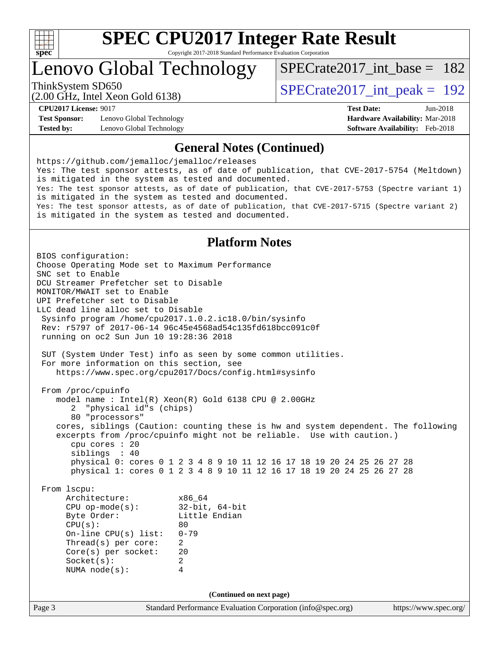

# **[SPEC CPU2017 Integer Rate Result](http://www.spec.org/auto/cpu2017/Docs/result-fields.html#SPECCPU2017IntegerRateResult)**

Copyright 2017-2018 Standard Performance Evaluation Corporation

Lenovo Global Technology

[SPECrate2017\\_int\\_base =](http://www.spec.org/auto/cpu2017/Docs/result-fields.html#SPECrate2017intbase) 182

(2.00 GHz, Intel Xeon Gold 6138)

ThinkSystem SD650  $SPECrate2017\_int\_peak = 192$ 

**[Test Sponsor:](http://www.spec.org/auto/cpu2017/Docs/result-fields.html#TestSponsor)** Lenovo Global Technology **[Hardware Availability:](http://www.spec.org/auto/cpu2017/Docs/result-fields.html#HardwareAvailability)** Mar-2018 **[Tested by:](http://www.spec.org/auto/cpu2017/Docs/result-fields.html#Testedby)** Lenovo Global Technology **[Software Availability:](http://www.spec.org/auto/cpu2017/Docs/result-fields.html#SoftwareAvailability)** Feb-2018

**[CPU2017 License:](http://www.spec.org/auto/cpu2017/Docs/result-fields.html#CPU2017License)** 9017 **[Test Date:](http://www.spec.org/auto/cpu2017/Docs/result-fields.html#TestDate)** Jun-2018

#### **[General Notes \(Continued\)](http://www.spec.org/auto/cpu2017/Docs/result-fields.html#GeneralNotes)**

<https://github.com/jemalloc/jemalloc/releases> Yes: The test sponsor attests, as of date of publication, that CVE-2017-5754 (Meltdown) is mitigated in the system as tested and documented. Yes: The test sponsor attests, as of date of publication, that CVE-2017-5753 (Spectre variant 1) is mitigated in the system as tested and documented. Yes: The test sponsor attests, as of date of publication, that CVE-2017-5715 (Spectre variant 2) is mitigated in the system as tested and documented.

#### **[Platform Notes](http://www.spec.org/auto/cpu2017/Docs/result-fields.html#PlatformNotes)**

Page 3 Standard Performance Evaluation Corporation [\(info@spec.org\)](mailto:info@spec.org) <https://www.spec.org/> BIOS configuration: Choose Operating Mode set to Maximum Performance SNC set to Enable DCU Streamer Prefetcher set to Disable MONITOR/MWAIT set to Enable UPI Prefetcher set to Disable LLC dead line alloc set to Disable Sysinfo program /home/cpu2017.1.0.2.ic18.0/bin/sysinfo Rev: r5797 of 2017-06-14 96c45e4568ad54c135fd618bcc091c0f running on oc2 Sun Jun 10 19:28:36 2018 SUT (System Under Test) info as seen by some common utilities. For more information on this section, see <https://www.spec.org/cpu2017/Docs/config.html#sysinfo> From /proc/cpuinfo model name : Intel(R) Xeon(R) Gold 6138 CPU @ 2.00GHz 2 "physical id"s (chips) 80 "processors" cores, siblings (Caution: counting these is hw and system dependent. The following excerpts from /proc/cpuinfo might not be reliable. Use with caution.) cpu cores : 20 siblings : 40 physical 0: cores 0 1 2 3 4 8 9 10 11 12 16 17 18 19 20 24 25 26 27 28 physical 1: cores 0 1 2 3 4 8 9 10 11 12 16 17 18 19 20 24 25 26 27 28 From lscpu: Architecture: x86\_64 CPU op-mode(s): 32-bit, 64-bit Little Endian  $CPU(s):$  80 On-line CPU(s) list: 0-79 Thread(s) per core: 2 Core(s) per socket: 20 Socket(s): 2 NUMA node(s): 4 **(Continued on next page)**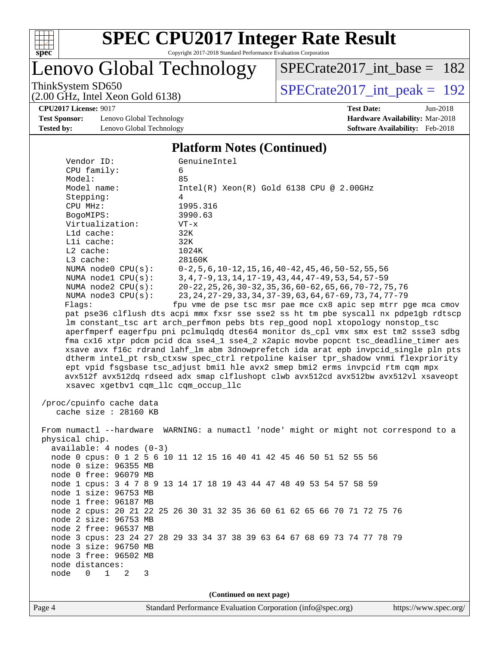

Lenovo Global Technology

[SPECrate2017\\_int\\_base =](http://www.spec.org/auto/cpu2017/Docs/result-fields.html#SPECrate2017intbase) 182

(2.00 GHz, Intel Xeon Gold 6138)

ThinkSystem SD650<br>  $(2.00 \text{ GHz})$  Intel Xeon Gold 6138)

**[CPU2017 License:](http://www.spec.org/auto/cpu2017/Docs/result-fields.html#CPU2017License)** 9017 **[Test Date:](http://www.spec.org/auto/cpu2017/Docs/result-fields.html#TestDate)** Jun-2018

**[Test Sponsor:](http://www.spec.org/auto/cpu2017/Docs/result-fields.html#TestSponsor)** Lenovo Global Technology **[Hardware Availability:](http://www.spec.org/auto/cpu2017/Docs/result-fields.html#HardwareAvailability)** Mar-2018 **[Tested by:](http://www.spec.org/auto/cpu2017/Docs/result-fields.html#Testedby)** Lenovo Global Technology **[Software Availability:](http://www.spec.org/auto/cpu2017/Docs/result-fields.html#SoftwareAvailability)** Feb-2018

#### **[Platform Notes \(Continued\)](http://www.spec.org/auto/cpu2017/Docs/result-fields.html#PlatformNotes)**

| Vendor ID:                                 | GenuineIntel                                                                         |  |  |  |  |  |  |
|--------------------------------------------|--------------------------------------------------------------------------------------|--|--|--|--|--|--|
| CPU family:                                | 6                                                                                    |  |  |  |  |  |  |
| Model:                                     | 85                                                                                   |  |  |  |  |  |  |
| Model name:                                | $Intel(R) Xeon(R) Gold 6138 CPU @ 2.00GHz$                                           |  |  |  |  |  |  |
| Stepping:                                  | 4                                                                                    |  |  |  |  |  |  |
| CPU MHz:                                   | 1995.316                                                                             |  |  |  |  |  |  |
| BogoMIPS:                                  | 3990.63                                                                              |  |  |  |  |  |  |
| Virtualization:                            | $VT - x$                                                                             |  |  |  |  |  |  |
| L1d cache:                                 | 32K                                                                                  |  |  |  |  |  |  |
| Lli cache:                                 | 32K                                                                                  |  |  |  |  |  |  |
| $L2$ cache:                                | 1024K                                                                                |  |  |  |  |  |  |
| L3 cache:                                  | 28160K                                                                               |  |  |  |  |  |  |
| NUMA $node0$ $CPU(s):$                     | $0-2, 5, 6, 10-12, 15, 16, 40-42, 45, 46, 50-52, 55, 56$                             |  |  |  |  |  |  |
| NUMA nodel CPU(s):                         | 3, 4, 7-9, 13, 14, 17-19, 43, 44, 47-49, 53, 54, 57-59                               |  |  |  |  |  |  |
| NUMA $node2$ $CPU(s):$                     | 20-22, 25, 26, 30-32, 35, 36, 60-62, 65, 66, 70-72, 75, 76                           |  |  |  |  |  |  |
| NUMA $node3$ $CPU(s):$                     | 23, 24, 27-29, 33, 34, 37-39, 63, 64, 67-69, 73, 74, 77-79                           |  |  |  |  |  |  |
| Flagg:                                     | fpu vme de pse tsc msr pae mce cx8 apic sep mtrr pge mca cmov                        |  |  |  |  |  |  |
|                                            | pat pse36 clflush dts acpi mmx fxsr sse sse2 ss ht tm pbe syscall nx pdpelgb rdtscp  |  |  |  |  |  |  |
|                                            |                                                                                      |  |  |  |  |  |  |
|                                            | lm constant_tsc art arch_perfmon pebs bts rep_good nopl xtopology nonstop_tsc        |  |  |  |  |  |  |
|                                            | aperfmperf eagerfpu pni pclmulqdq dtes64 monitor ds_cpl vmx smx est tm2 ssse3 sdbg   |  |  |  |  |  |  |
|                                            | fma cx16 xtpr pdcm pcid dca sse4_1 sse4_2 x2apic movbe popcnt tsc_deadline_timer aes |  |  |  |  |  |  |
|                                            | xsave avx f16c rdrand lahf_lm abm 3dnowprefetch ida arat epb invpcid_single pln pts  |  |  |  |  |  |  |
|                                            | dtherm intel_pt rsb_ctxsw spec_ctrl retpoline kaiser tpr_shadow vnmi flexpriority    |  |  |  |  |  |  |
|                                            | ept vpid fsgsbase tsc_adjust bmil hle avx2 smep bmi2 erms invpcid rtm cqm mpx        |  |  |  |  |  |  |
|                                            | avx512f avx512dq rdseed adx smap clflushopt clwb avx512cd avx512bw avx512vl xsaveopt |  |  |  |  |  |  |
| xsavec xgetbvl cqm_llc cqm_occup_llc       |                                                                                      |  |  |  |  |  |  |
|                                            |                                                                                      |  |  |  |  |  |  |
| /proc/cpuinfo cache data                   |                                                                                      |  |  |  |  |  |  |
| cache size $: 28160$ KB                    |                                                                                      |  |  |  |  |  |  |
|                                            |                                                                                      |  |  |  |  |  |  |
|                                            | From numactl --hardware WARNING: a numactl 'node' might or might not correspond to a |  |  |  |  |  |  |
| physical chip.                             |                                                                                      |  |  |  |  |  |  |
| $available: 4 nodes (0-3)$                 |                                                                                      |  |  |  |  |  |  |
|                                            | node 0 cpus: 0 1 2 5 6 10 11 12 15 16 40 41 42 45 46 50 51 52 55 56                  |  |  |  |  |  |  |
| node 0 size: 96355 MB                      |                                                                                      |  |  |  |  |  |  |
| node 0 free: 96079 MB                      |                                                                                      |  |  |  |  |  |  |
|                                            | node 1 cpus: 3 4 7 8 9 13 14 17 18 19 43 44 47 48 49 53 54 57 58 59                  |  |  |  |  |  |  |
| node 1 size: 96753 MB                      |                                                                                      |  |  |  |  |  |  |
| node 1 free: 96187 MB                      |                                                                                      |  |  |  |  |  |  |
|                                            | node 2 cpus: 20 21 22 25 26 30 31 32 35 36 60 61 62 65 66 70 71 72 75 76             |  |  |  |  |  |  |
| node 2 size: 96753 MB                      |                                                                                      |  |  |  |  |  |  |
| node 2 free: 96537 MB                      |                                                                                      |  |  |  |  |  |  |
|                                            | node 3 cpus: 23 24 27 28 29 33 34 37 38 39 63 64 67 68 69 73 74 77 78 79             |  |  |  |  |  |  |
| node 3 size: 96750 MB                      |                                                                                      |  |  |  |  |  |  |
| node 3 free: 96502 MB                      |                                                                                      |  |  |  |  |  |  |
| node distances:                            |                                                                                      |  |  |  |  |  |  |
| node<br>$\mathbf{1}$<br>$\Omega$<br>2<br>3 |                                                                                      |  |  |  |  |  |  |
|                                            |                                                                                      |  |  |  |  |  |  |
|                                            | (Continued on next page)                                                             |  |  |  |  |  |  |
|                                            |                                                                                      |  |  |  |  |  |  |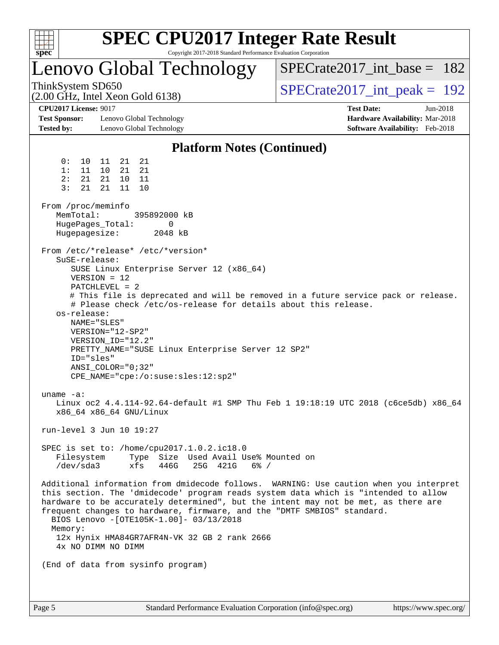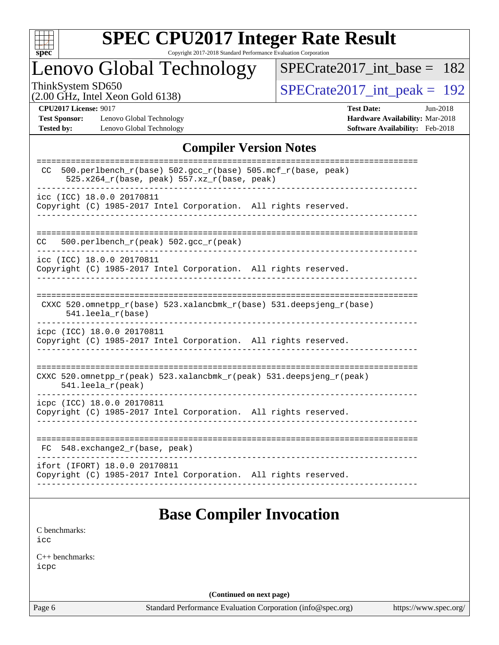

# **[SPEC CPU2017 Integer Rate Result](http://www.spec.org/auto/cpu2017/Docs/result-fields.html#SPECCPU2017IntegerRateResult)**

Copyright 2017-2018 Standard Performance Evaluation Corporation

## Lenovo Global Technology

[SPECrate2017\\_int\\_base =](http://www.spec.org/auto/cpu2017/Docs/result-fields.html#SPECrate2017intbase) 182

(2.00 GHz, Intel Xeon Gold 6138)

ThinkSystem SD650<br>  $(2.00 \text{ GHz})$  Intel Xeon Gold 6138)

**[Test Sponsor:](http://www.spec.org/auto/cpu2017/Docs/result-fields.html#TestSponsor)** Lenovo Global Technology **[Hardware Availability:](http://www.spec.org/auto/cpu2017/Docs/result-fields.html#HardwareAvailability)** Mar-2018 **[Tested by:](http://www.spec.org/auto/cpu2017/Docs/result-fields.html#Testedby)** Lenovo Global Technology **[Software Availability:](http://www.spec.org/auto/cpu2017/Docs/result-fields.html#SoftwareAvailability)** Feb-2018

**[CPU2017 License:](http://www.spec.org/auto/cpu2017/Docs/result-fields.html#CPU2017License)** 9017 **[Test Date:](http://www.spec.org/auto/cpu2017/Docs/result-fields.html#TestDate)** Jun-2018

### **[Compiler Version Notes](http://www.spec.org/auto/cpu2017/Docs/result-fields.html#CompilerVersionNotes)**

| $500. perlbench_r(base) 502. gcc_r(base) 505.mcf_r(base, peak)$<br>CC.<br>525.x264_r(base, peak) 557.xz_r(base, peak) |
|-----------------------------------------------------------------------------------------------------------------------|
| icc (ICC) 18.0.0 20170811<br>Copyright (C) 1985-2017 Intel Corporation. All rights reserved.                          |
| 500.perlbench_r(peak) 502.gcc_r(peak)<br>CC.                                                                          |
| icc (ICC) 18.0.0 20170811<br>Copyright (C) 1985-2017 Intel Corporation. All rights reserved.                          |
| CXXC 520.omnetpp_r(base) 523.xalancbmk_r(base) 531.deepsjeng_r(base)<br>$541.$ leela $r(base)$                        |
| icpc (ICC) 18.0.0 20170811<br>Copyright (C) 1985-2017 Intel Corporation. All rights reserved.                         |
| CXXC 520.omnetpp_r(peak) 523.xalancbmk_r(peak) 531.deepsjeng_r(peak)<br>$541.$ leela $r$ (peak)                       |
| icpc (ICC) 18.0.0 20170811<br>Copyright (C) 1985-2017 Intel Corporation. All rights reserved.                         |
| 548.exchange2_r(base, peak)<br>FC                                                                                     |
| ifort (IFORT) 18.0.0 20170811<br>Copyright (C) 1985-2017 Intel Corporation. All rights reserved.                      |
|                                                                                                                       |

### **[Base Compiler Invocation](http://www.spec.org/auto/cpu2017/Docs/result-fields.html#BaseCompilerInvocation)**

[C benchmarks](http://www.spec.org/auto/cpu2017/Docs/result-fields.html#Cbenchmarks): [icc](http://www.spec.org/cpu2017/results/res2018q2/cpu2017-20180611-06850.flags.html#user_CCbase_intel_icc_18.0_66fc1ee009f7361af1fbd72ca7dcefbb700085f36577c54f309893dd4ec40d12360134090235512931783d35fd58c0460139e722d5067c5574d8eaf2b3e37e92)

[C++ benchmarks:](http://www.spec.org/auto/cpu2017/Docs/result-fields.html#CXXbenchmarks) [icpc](http://www.spec.org/cpu2017/results/res2018q2/cpu2017-20180611-06850.flags.html#user_CXXbase_intel_icpc_18.0_c510b6838c7f56d33e37e94d029a35b4a7bccf4766a728ee175e80a419847e808290a9b78be685c44ab727ea267ec2f070ec5dc83b407c0218cded6866a35d07)

**(Continued on next page)**

Page 6 Standard Performance Evaluation Corporation [\(info@spec.org\)](mailto:info@spec.org) <https://www.spec.org/>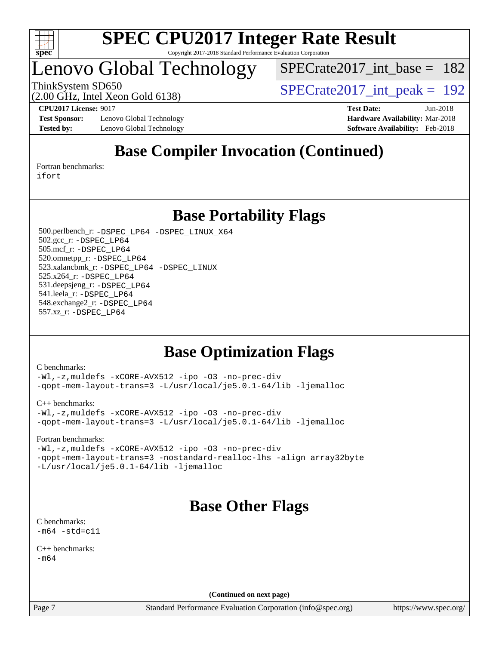

### Lenovo Global Technology

[SPECrate2017\\_int\\_base =](http://www.spec.org/auto/cpu2017/Docs/result-fields.html#SPECrate2017intbase) 182

(2.00 GHz, Intel Xeon Gold 6138)

ThinkSystem SD650<br>  $\binom{200}{100}$  CH<sub>z</sub> Intel Year Gold 6138)

**[Test Sponsor:](http://www.spec.org/auto/cpu2017/Docs/result-fields.html#TestSponsor)** Lenovo Global Technology **[Hardware Availability:](http://www.spec.org/auto/cpu2017/Docs/result-fields.html#HardwareAvailability)** Mar-2018 **[Tested by:](http://www.spec.org/auto/cpu2017/Docs/result-fields.html#Testedby)** Lenovo Global Technology **[Software Availability:](http://www.spec.org/auto/cpu2017/Docs/result-fields.html#SoftwareAvailability)** Feb-2018

**[CPU2017 License:](http://www.spec.org/auto/cpu2017/Docs/result-fields.html#CPU2017License)** 9017 **[Test Date:](http://www.spec.org/auto/cpu2017/Docs/result-fields.html#TestDate)** Jun-2018

### **[Base Compiler Invocation \(Continued\)](http://www.spec.org/auto/cpu2017/Docs/result-fields.html#BaseCompilerInvocation)**

[Fortran benchmarks](http://www.spec.org/auto/cpu2017/Docs/result-fields.html#Fortranbenchmarks): [ifort](http://www.spec.org/cpu2017/results/res2018q2/cpu2017-20180611-06850.flags.html#user_FCbase_intel_ifort_18.0_8111460550e3ca792625aed983ce982f94888b8b503583aa7ba2b8303487b4d8a21a13e7191a45c5fd58ff318f48f9492884d4413fa793fd88dd292cad7027ca)

**[Base Portability Flags](http://www.spec.org/auto/cpu2017/Docs/result-fields.html#BasePortabilityFlags)**

 500.perlbench\_r: [-DSPEC\\_LP64](http://www.spec.org/cpu2017/results/res2018q2/cpu2017-20180611-06850.flags.html#b500.perlbench_r_basePORTABILITY_DSPEC_LP64) [-DSPEC\\_LINUX\\_X64](http://www.spec.org/cpu2017/results/res2018q2/cpu2017-20180611-06850.flags.html#b500.perlbench_r_baseCPORTABILITY_DSPEC_LINUX_X64) 502.gcc\_r: [-DSPEC\\_LP64](http://www.spec.org/cpu2017/results/res2018q2/cpu2017-20180611-06850.flags.html#suite_basePORTABILITY502_gcc_r_DSPEC_LP64) 505.mcf\_r: [-DSPEC\\_LP64](http://www.spec.org/cpu2017/results/res2018q2/cpu2017-20180611-06850.flags.html#suite_basePORTABILITY505_mcf_r_DSPEC_LP64) 520.omnetpp\_r: [-DSPEC\\_LP64](http://www.spec.org/cpu2017/results/res2018q2/cpu2017-20180611-06850.flags.html#suite_basePORTABILITY520_omnetpp_r_DSPEC_LP64) 523.xalancbmk\_r: [-DSPEC\\_LP64](http://www.spec.org/cpu2017/results/res2018q2/cpu2017-20180611-06850.flags.html#suite_basePORTABILITY523_xalancbmk_r_DSPEC_LP64) [-DSPEC\\_LINUX](http://www.spec.org/cpu2017/results/res2018q2/cpu2017-20180611-06850.flags.html#b523.xalancbmk_r_baseCXXPORTABILITY_DSPEC_LINUX) 525.x264\_r: [-DSPEC\\_LP64](http://www.spec.org/cpu2017/results/res2018q2/cpu2017-20180611-06850.flags.html#suite_basePORTABILITY525_x264_r_DSPEC_LP64) 531.deepsjeng\_r: [-DSPEC\\_LP64](http://www.spec.org/cpu2017/results/res2018q2/cpu2017-20180611-06850.flags.html#suite_basePORTABILITY531_deepsjeng_r_DSPEC_LP64) 541.leela\_r: [-DSPEC\\_LP64](http://www.spec.org/cpu2017/results/res2018q2/cpu2017-20180611-06850.flags.html#suite_basePORTABILITY541_leela_r_DSPEC_LP64) 548.exchange2\_r: [-DSPEC\\_LP64](http://www.spec.org/cpu2017/results/res2018q2/cpu2017-20180611-06850.flags.html#suite_basePORTABILITY548_exchange2_r_DSPEC_LP64) 557.xz\_r: [-DSPEC\\_LP64](http://www.spec.org/cpu2017/results/res2018q2/cpu2017-20180611-06850.flags.html#suite_basePORTABILITY557_xz_r_DSPEC_LP64)

### **[Base Optimization Flags](http://www.spec.org/auto/cpu2017/Docs/result-fields.html#BaseOptimizationFlags)**

[C benchmarks](http://www.spec.org/auto/cpu2017/Docs/result-fields.html#Cbenchmarks):

[-Wl,-z,muldefs](http://www.spec.org/cpu2017/results/res2018q2/cpu2017-20180611-06850.flags.html#user_CCbase_link_force_multiple1_b4cbdb97b34bdee9ceefcfe54f4c8ea74255f0b02a4b23e853cdb0e18eb4525ac79b5a88067c842dd0ee6996c24547a27a4b99331201badda8798ef8a743f577) [-xCORE-AVX512](http://www.spec.org/cpu2017/results/res2018q2/cpu2017-20180611-06850.flags.html#user_CCbase_f-xCORE-AVX512) [-ipo](http://www.spec.org/cpu2017/results/res2018q2/cpu2017-20180611-06850.flags.html#user_CCbase_f-ipo) [-O3](http://www.spec.org/cpu2017/results/res2018q2/cpu2017-20180611-06850.flags.html#user_CCbase_f-O3) [-no-prec-div](http://www.spec.org/cpu2017/results/res2018q2/cpu2017-20180611-06850.flags.html#user_CCbase_f-no-prec-div) [-qopt-mem-layout-trans=3](http://www.spec.org/cpu2017/results/res2018q2/cpu2017-20180611-06850.flags.html#user_CCbase_f-qopt-mem-layout-trans_de80db37974c74b1f0e20d883f0b675c88c3b01e9d123adea9b28688d64333345fb62bc4a798493513fdb68f60282f9a726aa07f478b2f7113531aecce732043) [-L/usr/local/je5.0.1-64/lib](http://www.spec.org/cpu2017/results/res2018q2/cpu2017-20180611-06850.flags.html#user_CCbase_jemalloc_link_path64_4b10a636b7bce113509b17f3bd0d6226c5fb2346b9178c2d0232c14f04ab830f976640479e5c33dc2bcbbdad86ecfb6634cbbd4418746f06f368b512fced5394) [-ljemalloc](http://www.spec.org/cpu2017/results/res2018q2/cpu2017-20180611-06850.flags.html#user_CCbase_jemalloc_link_lib_d1249b907c500fa1c0672f44f562e3d0f79738ae9e3c4a9c376d49f265a04b9c99b167ecedbf6711b3085be911c67ff61f150a17b3472be731631ba4d0471706)

[C++ benchmarks:](http://www.spec.org/auto/cpu2017/Docs/result-fields.html#CXXbenchmarks)

[-Wl,-z,muldefs](http://www.spec.org/cpu2017/results/res2018q2/cpu2017-20180611-06850.flags.html#user_CXXbase_link_force_multiple1_b4cbdb97b34bdee9ceefcfe54f4c8ea74255f0b02a4b23e853cdb0e18eb4525ac79b5a88067c842dd0ee6996c24547a27a4b99331201badda8798ef8a743f577) [-xCORE-AVX512](http://www.spec.org/cpu2017/results/res2018q2/cpu2017-20180611-06850.flags.html#user_CXXbase_f-xCORE-AVX512) [-ipo](http://www.spec.org/cpu2017/results/res2018q2/cpu2017-20180611-06850.flags.html#user_CXXbase_f-ipo) [-O3](http://www.spec.org/cpu2017/results/res2018q2/cpu2017-20180611-06850.flags.html#user_CXXbase_f-O3) [-no-prec-div](http://www.spec.org/cpu2017/results/res2018q2/cpu2017-20180611-06850.flags.html#user_CXXbase_f-no-prec-div) [-qopt-mem-layout-trans=3](http://www.spec.org/cpu2017/results/res2018q2/cpu2017-20180611-06850.flags.html#user_CXXbase_f-qopt-mem-layout-trans_de80db37974c74b1f0e20d883f0b675c88c3b01e9d123adea9b28688d64333345fb62bc4a798493513fdb68f60282f9a726aa07f478b2f7113531aecce732043) [-L/usr/local/je5.0.1-64/lib](http://www.spec.org/cpu2017/results/res2018q2/cpu2017-20180611-06850.flags.html#user_CXXbase_jemalloc_link_path64_4b10a636b7bce113509b17f3bd0d6226c5fb2346b9178c2d0232c14f04ab830f976640479e5c33dc2bcbbdad86ecfb6634cbbd4418746f06f368b512fced5394) [-ljemalloc](http://www.spec.org/cpu2017/results/res2018q2/cpu2017-20180611-06850.flags.html#user_CXXbase_jemalloc_link_lib_d1249b907c500fa1c0672f44f562e3d0f79738ae9e3c4a9c376d49f265a04b9c99b167ecedbf6711b3085be911c67ff61f150a17b3472be731631ba4d0471706)

[Fortran benchmarks](http://www.spec.org/auto/cpu2017/Docs/result-fields.html#Fortranbenchmarks):

[-Wl,-z,muldefs](http://www.spec.org/cpu2017/results/res2018q2/cpu2017-20180611-06850.flags.html#user_FCbase_link_force_multiple1_b4cbdb97b34bdee9ceefcfe54f4c8ea74255f0b02a4b23e853cdb0e18eb4525ac79b5a88067c842dd0ee6996c24547a27a4b99331201badda8798ef8a743f577) [-xCORE-AVX512](http://www.spec.org/cpu2017/results/res2018q2/cpu2017-20180611-06850.flags.html#user_FCbase_f-xCORE-AVX512) [-ipo](http://www.spec.org/cpu2017/results/res2018q2/cpu2017-20180611-06850.flags.html#user_FCbase_f-ipo) [-O3](http://www.spec.org/cpu2017/results/res2018q2/cpu2017-20180611-06850.flags.html#user_FCbase_f-O3) [-no-prec-div](http://www.spec.org/cpu2017/results/res2018q2/cpu2017-20180611-06850.flags.html#user_FCbase_f-no-prec-div) [-qopt-mem-layout-trans=3](http://www.spec.org/cpu2017/results/res2018q2/cpu2017-20180611-06850.flags.html#user_FCbase_f-qopt-mem-layout-trans_de80db37974c74b1f0e20d883f0b675c88c3b01e9d123adea9b28688d64333345fb62bc4a798493513fdb68f60282f9a726aa07f478b2f7113531aecce732043) [-nostandard-realloc-lhs](http://www.spec.org/cpu2017/results/res2018q2/cpu2017-20180611-06850.flags.html#user_FCbase_f_2003_std_realloc_82b4557e90729c0f113870c07e44d33d6f5a304b4f63d4c15d2d0f1fab99f5daaed73bdb9275d9ae411527f28b936061aa8b9c8f2d63842963b95c9dd6426b8a) [-align array32byte](http://www.spec.org/cpu2017/results/res2018q2/cpu2017-20180611-06850.flags.html#user_FCbase_align_array32byte_b982fe038af199962ba9a80c053b8342c548c85b40b8e86eb3cc33dee0d7986a4af373ac2d51c3f7cf710a18d62fdce2948f201cd044323541f22fc0fffc51b6) [-L/usr/local/je5.0.1-64/lib](http://www.spec.org/cpu2017/results/res2018q2/cpu2017-20180611-06850.flags.html#user_FCbase_jemalloc_link_path64_4b10a636b7bce113509b17f3bd0d6226c5fb2346b9178c2d0232c14f04ab830f976640479e5c33dc2bcbbdad86ecfb6634cbbd4418746f06f368b512fced5394) [-ljemalloc](http://www.spec.org/cpu2017/results/res2018q2/cpu2017-20180611-06850.flags.html#user_FCbase_jemalloc_link_lib_d1249b907c500fa1c0672f44f562e3d0f79738ae9e3c4a9c376d49f265a04b9c99b167ecedbf6711b3085be911c67ff61f150a17b3472be731631ba4d0471706)

### **[Base Other Flags](http://www.spec.org/auto/cpu2017/Docs/result-fields.html#BaseOtherFlags)**

[C benchmarks](http://www.spec.org/auto/cpu2017/Docs/result-fields.html#Cbenchmarks):  $-m64 - std= c11$  $-m64 - std= c11$ 

[C++ benchmarks:](http://www.spec.org/auto/cpu2017/Docs/result-fields.html#CXXbenchmarks)  $-m64$ 

**(Continued on next page)**

Page 7 Standard Performance Evaluation Corporation [\(info@spec.org\)](mailto:info@spec.org) <https://www.spec.org/>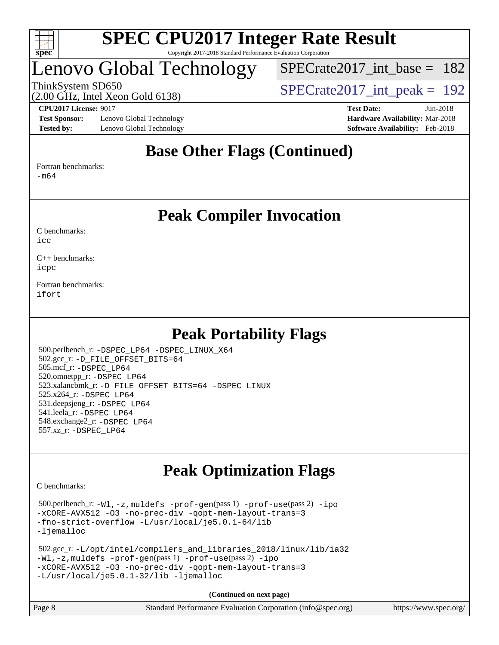

### Lenovo Global Technology

[SPECrate2017\\_int\\_base =](http://www.spec.org/auto/cpu2017/Docs/result-fields.html#SPECrate2017intbase) 182

(2.00 GHz, Intel Xeon Gold 6138)

ThinkSystem SD650  $SPECrate2017\_int\_peak = 192$ 

**[Test Sponsor:](http://www.spec.org/auto/cpu2017/Docs/result-fields.html#TestSponsor)** Lenovo Global Technology **[Hardware Availability:](http://www.spec.org/auto/cpu2017/Docs/result-fields.html#HardwareAvailability)** Mar-2018 **[Tested by:](http://www.spec.org/auto/cpu2017/Docs/result-fields.html#Testedby)** Lenovo Global Technology **[Software Availability:](http://www.spec.org/auto/cpu2017/Docs/result-fields.html#SoftwareAvailability)** Feb-2018

**[CPU2017 License:](http://www.spec.org/auto/cpu2017/Docs/result-fields.html#CPU2017License)** 9017 **[Test Date:](http://www.spec.org/auto/cpu2017/Docs/result-fields.html#TestDate)** Jun-2018

### **[Base Other Flags \(Continued\)](http://www.spec.org/auto/cpu2017/Docs/result-fields.html#BaseOtherFlags)**

[Fortran benchmarks](http://www.spec.org/auto/cpu2017/Docs/result-fields.html#Fortranbenchmarks):

[-m64](http://www.spec.org/cpu2017/results/res2018q2/cpu2017-20180611-06850.flags.html#user_FCbase_intel_intel64_18.0_af43caccfc8ded86e7699f2159af6efc7655f51387b94da716254467f3c01020a5059329e2569e4053f409e7c9202a7efc638f7a6d1ffb3f52dea4a3e31d82ab)

### **[Peak Compiler Invocation](http://www.spec.org/auto/cpu2017/Docs/result-fields.html#PeakCompilerInvocation)**

[C benchmarks](http://www.spec.org/auto/cpu2017/Docs/result-fields.html#Cbenchmarks):  $i$ cc

[C++ benchmarks:](http://www.spec.org/auto/cpu2017/Docs/result-fields.html#CXXbenchmarks) [icpc](http://www.spec.org/cpu2017/results/res2018q2/cpu2017-20180611-06850.flags.html#user_CXXpeak_intel_icpc_18.0_c510b6838c7f56d33e37e94d029a35b4a7bccf4766a728ee175e80a419847e808290a9b78be685c44ab727ea267ec2f070ec5dc83b407c0218cded6866a35d07)

[Fortran benchmarks](http://www.spec.org/auto/cpu2017/Docs/result-fields.html#Fortranbenchmarks): [ifort](http://www.spec.org/cpu2017/results/res2018q2/cpu2017-20180611-06850.flags.html#user_FCpeak_intel_ifort_18.0_8111460550e3ca792625aed983ce982f94888b8b503583aa7ba2b8303487b4d8a21a13e7191a45c5fd58ff318f48f9492884d4413fa793fd88dd292cad7027ca)

### **[Peak Portability Flags](http://www.spec.org/auto/cpu2017/Docs/result-fields.html#PeakPortabilityFlags)**

 500.perlbench\_r: [-DSPEC\\_LP64](http://www.spec.org/cpu2017/results/res2018q2/cpu2017-20180611-06850.flags.html#b500.perlbench_r_peakPORTABILITY_DSPEC_LP64) [-DSPEC\\_LINUX\\_X64](http://www.spec.org/cpu2017/results/res2018q2/cpu2017-20180611-06850.flags.html#b500.perlbench_r_peakCPORTABILITY_DSPEC_LINUX_X64) 502.gcc\_r: [-D\\_FILE\\_OFFSET\\_BITS=64](http://www.spec.org/cpu2017/results/res2018q2/cpu2017-20180611-06850.flags.html#user_peakPORTABILITY502_gcc_r_file_offset_bits_64_5ae949a99b284ddf4e95728d47cb0843d81b2eb0e18bdfe74bbf0f61d0b064f4bda2f10ea5eb90e1dcab0e84dbc592acfc5018bc955c18609f94ddb8d550002c) 505.mcf\_r: [-DSPEC\\_LP64](http://www.spec.org/cpu2017/results/res2018q2/cpu2017-20180611-06850.flags.html#suite_peakPORTABILITY505_mcf_r_DSPEC_LP64) 520.omnetpp\_r: [-DSPEC\\_LP64](http://www.spec.org/cpu2017/results/res2018q2/cpu2017-20180611-06850.flags.html#suite_peakPORTABILITY520_omnetpp_r_DSPEC_LP64) 523.xalancbmk\_r: [-D\\_FILE\\_OFFSET\\_BITS=64](http://www.spec.org/cpu2017/results/res2018q2/cpu2017-20180611-06850.flags.html#user_peakPORTABILITY523_xalancbmk_r_file_offset_bits_64_5ae949a99b284ddf4e95728d47cb0843d81b2eb0e18bdfe74bbf0f61d0b064f4bda2f10ea5eb90e1dcab0e84dbc592acfc5018bc955c18609f94ddb8d550002c) [-DSPEC\\_LINUX](http://www.spec.org/cpu2017/results/res2018q2/cpu2017-20180611-06850.flags.html#b523.xalancbmk_r_peakCXXPORTABILITY_DSPEC_LINUX) 525.x264\_r: [-DSPEC\\_LP64](http://www.spec.org/cpu2017/results/res2018q2/cpu2017-20180611-06850.flags.html#suite_peakPORTABILITY525_x264_r_DSPEC_LP64) 531.deepsjeng\_r: [-DSPEC\\_LP64](http://www.spec.org/cpu2017/results/res2018q2/cpu2017-20180611-06850.flags.html#suite_peakPORTABILITY531_deepsjeng_r_DSPEC_LP64) 541.leela\_r: [-DSPEC\\_LP64](http://www.spec.org/cpu2017/results/res2018q2/cpu2017-20180611-06850.flags.html#suite_peakPORTABILITY541_leela_r_DSPEC_LP64) 548.exchange2\_r: [-DSPEC\\_LP64](http://www.spec.org/cpu2017/results/res2018q2/cpu2017-20180611-06850.flags.html#suite_peakPORTABILITY548_exchange2_r_DSPEC_LP64) 557.xz\_r: [-DSPEC\\_LP64](http://www.spec.org/cpu2017/results/res2018q2/cpu2017-20180611-06850.flags.html#suite_peakPORTABILITY557_xz_r_DSPEC_LP64)

### **[Peak Optimization Flags](http://www.spec.org/auto/cpu2017/Docs/result-fields.html#PeakOptimizationFlags)**

[C benchmarks](http://www.spec.org/auto/cpu2017/Docs/result-fields.html#Cbenchmarks):

 500.perlbench\_r: [-Wl,-z,muldefs](http://www.spec.org/cpu2017/results/res2018q2/cpu2017-20180611-06850.flags.html#user_peakEXTRA_LDFLAGS500_perlbench_r_link_force_multiple1_b4cbdb97b34bdee9ceefcfe54f4c8ea74255f0b02a4b23e853cdb0e18eb4525ac79b5a88067c842dd0ee6996c24547a27a4b99331201badda8798ef8a743f577) [-prof-gen](http://www.spec.org/cpu2017/results/res2018q2/cpu2017-20180611-06850.flags.html#user_peakPASS1_CFLAGSPASS1_LDFLAGS500_perlbench_r_prof_gen_5aa4926d6013ddb2a31985c654b3eb18169fc0c6952a63635c234f711e6e63dd76e94ad52365559451ec499a2cdb89e4dc58ba4c67ef54ca681ffbe1461d6b36)(pass 1) [-prof-use](http://www.spec.org/cpu2017/results/res2018q2/cpu2017-20180611-06850.flags.html#user_peakPASS2_CFLAGSPASS2_LDFLAGS500_perlbench_r_prof_use_1a21ceae95f36a2b53c25747139a6c16ca95bd9def2a207b4f0849963b97e94f5260e30a0c64f4bb623698870e679ca08317ef8150905d41bd88c6f78df73f19)(pass 2) [-ipo](http://www.spec.org/cpu2017/results/res2018q2/cpu2017-20180611-06850.flags.html#user_peakPASS1_COPTIMIZEPASS2_COPTIMIZE500_perlbench_r_f-ipo) [-xCORE-AVX512](http://www.spec.org/cpu2017/results/res2018q2/cpu2017-20180611-06850.flags.html#user_peakPASS2_COPTIMIZE500_perlbench_r_f-xCORE-AVX512) [-O3](http://www.spec.org/cpu2017/results/res2018q2/cpu2017-20180611-06850.flags.html#user_peakPASS1_COPTIMIZEPASS2_COPTIMIZE500_perlbench_r_f-O3) [-no-prec-div](http://www.spec.org/cpu2017/results/res2018q2/cpu2017-20180611-06850.flags.html#user_peakPASS1_COPTIMIZEPASS2_COPTIMIZE500_perlbench_r_f-no-prec-div) [-qopt-mem-layout-trans=3](http://www.spec.org/cpu2017/results/res2018q2/cpu2017-20180611-06850.flags.html#user_peakPASS1_COPTIMIZEPASS2_COPTIMIZE500_perlbench_r_f-qopt-mem-layout-trans_de80db37974c74b1f0e20d883f0b675c88c3b01e9d123adea9b28688d64333345fb62bc4a798493513fdb68f60282f9a726aa07f478b2f7113531aecce732043) [-fno-strict-overflow](http://www.spec.org/cpu2017/results/res2018q2/cpu2017-20180611-06850.flags.html#user_peakEXTRA_OPTIMIZE500_perlbench_r_f-fno-strict-overflow) [-L/usr/local/je5.0.1-64/lib](http://www.spec.org/cpu2017/results/res2018q2/cpu2017-20180611-06850.flags.html#user_peakEXTRA_LIBS500_perlbench_r_jemalloc_link_path64_4b10a636b7bce113509b17f3bd0d6226c5fb2346b9178c2d0232c14f04ab830f976640479e5c33dc2bcbbdad86ecfb6634cbbd4418746f06f368b512fced5394) [-ljemalloc](http://www.spec.org/cpu2017/results/res2018q2/cpu2017-20180611-06850.flags.html#user_peakEXTRA_LIBS500_perlbench_r_jemalloc_link_lib_d1249b907c500fa1c0672f44f562e3d0f79738ae9e3c4a9c376d49f265a04b9c99b167ecedbf6711b3085be911c67ff61f150a17b3472be731631ba4d0471706)

```
 502.gcc_r: -L/opt/intel/compilers_and_libraries_2018/linux/lib/ia32
-Wl,-z,muldefs -prof-gen(pass 1) -prof-use(pass 2) -ipo
-xCORE-AVX512 -O3 -no-prec-div -qopt-mem-layout-trans=3
-L/usr/local/je5.0.1-32/lib -ljemalloc
```
**(Continued on next page)**

| Page 8 | Standard Performance Evaluation Corporation (info@spec.org) | https://www.spec.org/ |
|--------|-------------------------------------------------------------|-----------------------|
|        |                                                             |                       |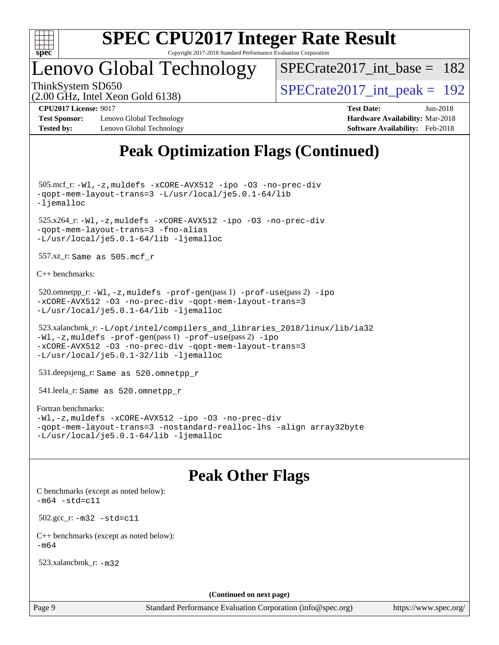

### Lenovo Global Technology

 $SPECrate2017\_int\_base = 182$ 

(2.00 GHz, Intel Xeon Gold 6138)

ThinkSystem SD650  $SPECrate2017\_int\_peak = 192$ 

#### **[CPU2017 License:](http://www.spec.org/auto/cpu2017/Docs/result-fields.html#CPU2017License)** 9017 **[Test Date:](http://www.spec.org/auto/cpu2017/Docs/result-fields.html#TestDate)** Jun-2018 **[Test Sponsor:](http://www.spec.org/auto/cpu2017/Docs/result-fields.html#TestSponsor)** Lenovo Global Technology **[Hardware Availability:](http://www.spec.org/auto/cpu2017/Docs/result-fields.html#HardwareAvailability)** Mar-2018

**[Tested by:](http://www.spec.org/auto/cpu2017/Docs/result-fields.html#Testedby)** Lenovo Global Technology **[Software Availability:](http://www.spec.org/auto/cpu2017/Docs/result-fields.html#SoftwareAvailability)** Feb-2018

## **[Peak Optimization Flags \(Continued\)](http://www.spec.org/auto/cpu2017/Docs/result-fields.html#PeakOptimizationFlags)**

 505.mcf\_r: [-Wl,-z,muldefs](http://www.spec.org/cpu2017/results/res2018q2/cpu2017-20180611-06850.flags.html#user_peakEXTRA_LDFLAGS505_mcf_r_link_force_multiple1_b4cbdb97b34bdee9ceefcfe54f4c8ea74255f0b02a4b23e853cdb0e18eb4525ac79b5a88067c842dd0ee6996c24547a27a4b99331201badda8798ef8a743f577) [-xCORE-AVX512](http://www.spec.org/cpu2017/results/res2018q2/cpu2017-20180611-06850.flags.html#user_peakCOPTIMIZE505_mcf_r_f-xCORE-AVX512) [-ipo](http://www.spec.org/cpu2017/results/res2018q2/cpu2017-20180611-06850.flags.html#user_peakCOPTIMIZE505_mcf_r_f-ipo) [-O3](http://www.spec.org/cpu2017/results/res2018q2/cpu2017-20180611-06850.flags.html#user_peakCOPTIMIZE505_mcf_r_f-O3) [-no-prec-div](http://www.spec.org/cpu2017/results/res2018q2/cpu2017-20180611-06850.flags.html#user_peakCOPTIMIZE505_mcf_r_f-no-prec-div) [-qopt-mem-layout-trans=3](http://www.spec.org/cpu2017/results/res2018q2/cpu2017-20180611-06850.flags.html#user_peakCOPTIMIZE505_mcf_r_f-qopt-mem-layout-trans_de80db37974c74b1f0e20d883f0b675c88c3b01e9d123adea9b28688d64333345fb62bc4a798493513fdb68f60282f9a726aa07f478b2f7113531aecce732043) [-L/usr/local/je5.0.1-64/lib](http://www.spec.org/cpu2017/results/res2018q2/cpu2017-20180611-06850.flags.html#user_peakEXTRA_LIBS505_mcf_r_jemalloc_link_path64_4b10a636b7bce113509b17f3bd0d6226c5fb2346b9178c2d0232c14f04ab830f976640479e5c33dc2bcbbdad86ecfb6634cbbd4418746f06f368b512fced5394) [-ljemalloc](http://www.spec.org/cpu2017/results/res2018q2/cpu2017-20180611-06850.flags.html#user_peakEXTRA_LIBS505_mcf_r_jemalloc_link_lib_d1249b907c500fa1c0672f44f562e3d0f79738ae9e3c4a9c376d49f265a04b9c99b167ecedbf6711b3085be911c67ff61f150a17b3472be731631ba4d0471706) 525.x264\_r: [-Wl,-z,muldefs](http://www.spec.org/cpu2017/results/res2018q2/cpu2017-20180611-06850.flags.html#user_peakEXTRA_LDFLAGS525_x264_r_link_force_multiple1_b4cbdb97b34bdee9ceefcfe54f4c8ea74255f0b02a4b23e853cdb0e18eb4525ac79b5a88067c842dd0ee6996c24547a27a4b99331201badda8798ef8a743f577) [-xCORE-AVX512](http://www.spec.org/cpu2017/results/res2018q2/cpu2017-20180611-06850.flags.html#user_peakCOPTIMIZE525_x264_r_f-xCORE-AVX512) [-ipo](http://www.spec.org/cpu2017/results/res2018q2/cpu2017-20180611-06850.flags.html#user_peakCOPTIMIZE525_x264_r_f-ipo) [-O3](http://www.spec.org/cpu2017/results/res2018q2/cpu2017-20180611-06850.flags.html#user_peakCOPTIMIZE525_x264_r_f-O3) [-no-prec-div](http://www.spec.org/cpu2017/results/res2018q2/cpu2017-20180611-06850.flags.html#user_peakCOPTIMIZE525_x264_r_f-no-prec-div) [-qopt-mem-layout-trans=3](http://www.spec.org/cpu2017/results/res2018q2/cpu2017-20180611-06850.flags.html#user_peakCOPTIMIZE525_x264_r_f-qopt-mem-layout-trans_de80db37974c74b1f0e20d883f0b675c88c3b01e9d123adea9b28688d64333345fb62bc4a798493513fdb68f60282f9a726aa07f478b2f7113531aecce732043) [-fno-alias](http://www.spec.org/cpu2017/results/res2018q2/cpu2017-20180611-06850.flags.html#user_peakEXTRA_OPTIMIZE525_x264_r_f-no-alias_77dbac10d91cbfe898fbf4a29d1b29b694089caa623bdd1baccc9957d4edbe8d106c0b357e2748a65b44fc9e83d78098bb898077f3fe92f9faf24f7bd4a07ed7) [-L/usr/local/je5.0.1-64/lib](http://www.spec.org/cpu2017/results/res2018q2/cpu2017-20180611-06850.flags.html#user_peakEXTRA_LIBS525_x264_r_jemalloc_link_path64_4b10a636b7bce113509b17f3bd0d6226c5fb2346b9178c2d0232c14f04ab830f976640479e5c33dc2bcbbdad86ecfb6634cbbd4418746f06f368b512fced5394) [-ljemalloc](http://www.spec.org/cpu2017/results/res2018q2/cpu2017-20180611-06850.flags.html#user_peakEXTRA_LIBS525_x264_r_jemalloc_link_lib_d1249b907c500fa1c0672f44f562e3d0f79738ae9e3c4a9c376d49f265a04b9c99b167ecedbf6711b3085be911c67ff61f150a17b3472be731631ba4d0471706) 557.xz\_r: Same as 505.mcf\_r [C++ benchmarks:](http://www.spec.org/auto/cpu2017/Docs/result-fields.html#CXXbenchmarks) 520.omnetpp\_r: [-Wl,-z,muldefs](http://www.spec.org/cpu2017/results/res2018q2/cpu2017-20180611-06850.flags.html#user_peakEXTRA_LDFLAGS520_omnetpp_r_link_force_multiple1_b4cbdb97b34bdee9ceefcfe54f4c8ea74255f0b02a4b23e853cdb0e18eb4525ac79b5a88067c842dd0ee6996c24547a27a4b99331201badda8798ef8a743f577) [-prof-gen](http://www.spec.org/cpu2017/results/res2018q2/cpu2017-20180611-06850.flags.html#user_peakPASS1_CXXFLAGSPASS1_LDFLAGS520_omnetpp_r_prof_gen_5aa4926d6013ddb2a31985c654b3eb18169fc0c6952a63635c234f711e6e63dd76e94ad52365559451ec499a2cdb89e4dc58ba4c67ef54ca681ffbe1461d6b36)(pass 1) [-prof-use](http://www.spec.org/cpu2017/results/res2018q2/cpu2017-20180611-06850.flags.html#user_peakPASS2_CXXFLAGSPASS2_LDFLAGS520_omnetpp_r_prof_use_1a21ceae95f36a2b53c25747139a6c16ca95bd9def2a207b4f0849963b97e94f5260e30a0c64f4bb623698870e679ca08317ef8150905d41bd88c6f78df73f19)(pass 2) [-ipo](http://www.spec.org/cpu2017/results/res2018q2/cpu2017-20180611-06850.flags.html#user_peakPASS1_CXXOPTIMIZEPASS2_CXXOPTIMIZE520_omnetpp_r_f-ipo)

```
-xCORE-AVX512 -O3 -no-prec-div -qopt-mem-layout-trans=3
-L/usr/local/je5.0.1-64/lib -ljemalloc
```

```
 523.xalancbmk_r: -L/opt/intel/compilers_and_libraries_2018/linux/lib/ia32
-Wl,-z,muldefs -prof-gen(pass 1) -prof-use(pass 2) -ipo
-xCORE-AVX512 -O3 -no-prec-div -qopt-mem-layout-trans=3
-L/usr/local/je5.0.1-32/lib -ljemalloc
```
531.deepsjeng\_r: Same as 520.omnetpp\_r

541.leela\_r: Same as 520.omnetpp\_r

#### [Fortran benchmarks](http://www.spec.org/auto/cpu2017/Docs/result-fields.html#Fortranbenchmarks):

```
-Wl,-z,muldefs -xCORE-AVX512 -ipo -O3 -no-prec-div
-qopt-mem-layout-trans=3 -nostandard-realloc-lhs -align array32byte
-L/usr/local/je5.0.1-64/lib -ljemalloc
```
### **[Peak Other Flags](http://www.spec.org/auto/cpu2017/Docs/result-fields.html#PeakOtherFlags)**

[C benchmarks \(except as noted below\)](http://www.spec.org/auto/cpu2017/Docs/result-fields.html#Cbenchmarksexceptasnotedbelow):  $-m64 - std= c11$  $-m64 - std= c11$  502.gcc\_r: [-m32](http://www.spec.org/cpu2017/results/res2018q2/cpu2017-20180611-06850.flags.html#user_peakCCLD502_gcc_r_intel_ia32_18.0_2666f1173eb60787016b673bfe1358e27016ef7649ea4884b7bc6187fd89dc221d14632e22638cde1c647a518de97358ab15d4ad098ee4e19a8b28d0c25e14bf) [-std=c11](http://www.spec.org/cpu2017/results/res2018q2/cpu2017-20180611-06850.flags.html#user_peakCCLD502_gcc_r_intel_compiler_c11_mode_0e1c27790398a4642dfca32ffe6c27b5796f9c2d2676156f2e42c9c44eaad0c049b1cdb667a270c34d979996257aeb8fc440bfb01818dbc9357bd9d174cb8524) [C++ benchmarks \(except as noted below\):](http://www.spec.org/auto/cpu2017/Docs/result-fields.html#CXXbenchmarksexceptasnotedbelow)  $-m64$ 

523.xalancbmk\_r: [-m32](http://www.spec.org/cpu2017/results/res2018q2/cpu2017-20180611-06850.flags.html#user_peakCXXLD523_xalancbmk_r_intel_ia32_18.0_2666f1173eb60787016b673bfe1358e27016ef7649ea4884b7bc6187fd89dc221d14632e22638cde1c647a518de97358ab15d4ad098ee4e19a8b28d0c25e14bf)

**(Continued on next page)**